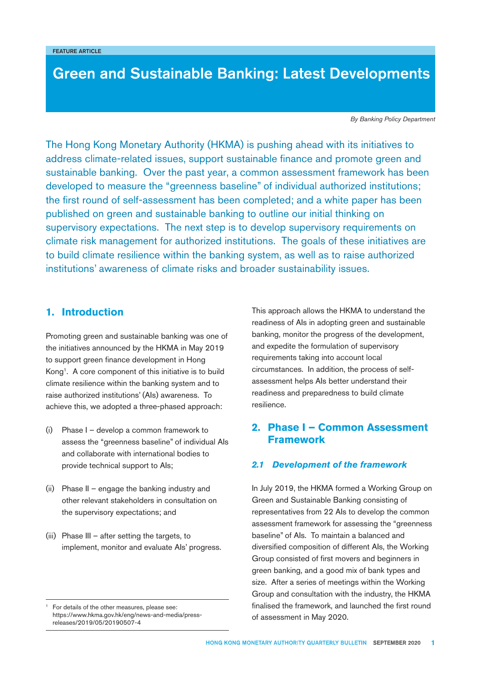# **Green and Sustainable Banking: Latest Developments**

*By Banking Policy Department*

The Hong Kong Monetary Authority (HKMA) is pushing ahead with its initiatives to address climate-related issues, support sustainable finance and promote green and sustainable banking. Over the past year, a common assessment framework has been developed to measure the "greenness baseline" of individual authorized institutions; the first round of self-assessment has been completed; and a white paper has been published on green and sustainable banking to outline our initial thinking on supervisory expectations. The next step is to develop supervisory requirements on climate risk management for authorized institutions. The goals of these initiatives are to build climate resilience within the banking system, as well as to raise authorized institutions' awareness of climate risks and broader sustainability issues.

# **1. Introduction**

Promoting green and sustainable banking was one of the initiatives announced by the HKMA in May 2019 to support green finance development in Hong Kong1. A core component of this initiative is to build climate resilience within the banking system and to raise authorized institutions' (AIs) awareness. To achieve this, we adopted a three-phased approach:

- (i) Phase I develop a common framework to assess the "greenness baseline" of individual AIs and collaborate with international bodies to provide technical support to AIs;
- (ii) Phase II engage the banking industry and other relevant stakeholders in consultation on the supervisory expectations; and
- (iii) Phase III after setting the targets, to implement, monitor and evaluate AIs' progress.

This approach allows the HKMA to understand the readiness of AIs in adopting green and sustainable banking, monitor the progress of the development, and expedite the formulation of supervisory requirements taking into account local circumstances. In addition, the process of selfassessment helps AIs better understand their readiness and preparedness to build climate resilience.

# **2. Phase I – Common Assessment Framework**

### **2.1 Development of the framework**

In July 2019, the HKMA formed a Working Group on Green and Sustainable Banking consisting of representatives from 22 AIs to develop the common assessment framework for assessing the "greenness baseline" of AIs. To maintain a balanced and diversified composition of different AIs, the Working Group consisted of first movers and beginners in green banking, and a good mix of bank types and size. After a series of meetings within the Working Group and consultation with the industry, the HKMA finalised the framework, and launched the first round of assessment in May 2020.

For details of the other measures, please see: https://www.hkma.gov.hk/eng/news-and-media/pressreleases/2019/05/20190507-4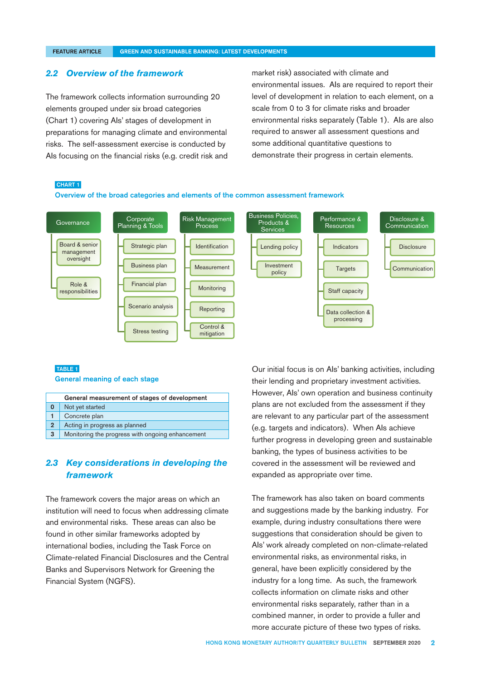#### **FEATURE ARTICLE**

#### **GREEN AND SUSTAINABLE BANKING: LATEST DEVELOPMENTS**

#### *2.2 Overview of the framework*

The framework collects information surrounding 20 elements grouped under six broad categories (Chart 1) covering AIs' stages of development in preparations for managing climate and environmental risks. The self-assessment exercise is conducted by AIs focusing on the financial risks (e.g. credit risk and market risk) associated with climate and environmental issues. AIs are required to report their level of development in relation to each element, on a scale from 0 to 3 for climate risks and broader environmental risks separately (Table 1). AIs are also required to answer all assessment questions and some additional quantitative questions to demonstrate their progress in certain elements.

#### CHART 1

Overview of the broad categories and elements of the common assessment framework



#### TABLE 1

General meaning of each stage

| General measurement of stages of development |                                                  |  |
|----------------------------------------------|--------------------------------------------------|--|
| 0                                            | Not yet started                                  |  |
|                                              | Concrete plan                                    |  |
| $\overline{2}$                               | Acting in progress as planned                    |  |
| 3                                            | Monitoring the progress with ongoing enhancement |  |

## **2.3** Key considerations in developing the *framework*

The framework covers the major areas on which an institution will need to focus when addressing climate and environmental risks. These areas can also be found in other similar frameworks adopted by international bodies, including the Task Force on Climate-related Financial Disclosures and the Central Banks and Supervisors Network for Greening the Financial System (NGFS).

Our initial focus is on AIs' banking activities, including their lending and proprietary investment activities. However, AIs' own operation and business continuity plans are not excluded from the assessment if they are relevant to any particular part of the assessment (e.g. targets and indicators). When AIs achieve further progress in developing green and sustainable banking, the types of business activities to be covered in the assessment will be reviewed and expanded as appropriate over time.

The framework has also taken on board comments and suggestions made by the banking industry. For example, during industry consultations there were suggestions that consideration should be given to AIs' work already completed on non-climate-related environmental risks, as environmental risks, in general, have been explicitly considered by the industry for a long time. As such, the framework collects information on climate risks and other environmental risks separately, rather than in a combined manner, in order to provide a fuller and more accurate picture of these two types of risks.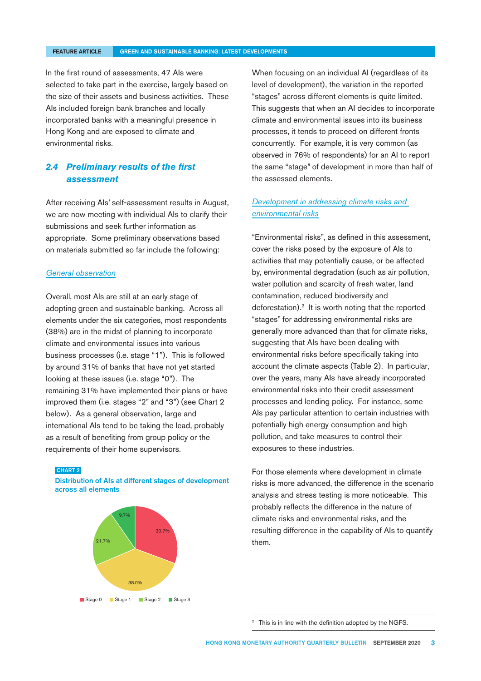#### **FEATURE ARTICLE**

#### **GREEN AND SUSTAINABLE BANKING: LATEST DEVELOPMENTS**

In the first round of assessments, 47 AIs were selected to take part in the exercise, largely based on the size of their assets and business activities. These AIs included foreign bank branches and locally incorporated banks with a meaningful presence in Hong Kong and are exposed to climate and environmental risks.

# **2.4 Preliminary results of the first** *assessment*

After receiving AIs' self-assessment results in August, we are now meeting with individual AIs to clarify their submissions and seek further information as appropriate. Some preliminary observations based on materials submitted so far include the following:

### *General observation*

Overall, most AIs are still at an early stage of adopting green and sustainable banking. Across all elements under the six categories, most respondents (38%) are in the midst of planning to incorporate climate and environmental issues into various business processes (i.e. stage "1"). This is followed by around 31% of banks that have not yet started looking at these issues (i.e. stage "0"). The remaining 31% have implemented their plans or have improved them (i.e. stages "2" and "3") (see Chart 2 below). As a general observation, large and international AIs tend to be taking the lead, probably as a result of benefiting from group policy or the requirements of their home supervisors.

#### CHART 2

Distribution of AIs at different stages of development across all elements



When focusing on an individual AI (regardless of its level of development), the variation in the reported "stages" across different elements is quite limited. This suggests that when an AI decides to incorporate climate and environmental issues into its business processes, it tends to proceed on different fronts concurrently. For example, it is very common (as observed in 76% of respondents) for an AI to report the same "stage" of development in more than half of the assessed elements.

### *Development in addressing climate risks and environmental risks*

"Environmental risks", as defined in this assessment, cover the risks posed by the exposure of AIs to activities that may potentially cause, or be affected by, environmental degradation (such as air pollution, water pollution and scarcity of fresh water, land contamination, reduced biodiversity and deforestation).<sup>2</sup> It is worth noting that the reported "stages" for addressing environmental risks are generally more advanced than that for climate risks, suggesting that AIs have been dealing with environmental risks before specifically taking into account the climate aspects (Table 2). In particular, over the years, many AIs have already incorporated environmental risks into their credit assessment processes and lending policy. For instance, some AIs pay particular attention to certain industries with potentially high energy consumption and high pollution, and take measures to control their exposures to these industries.

For those elements where development in climate risks is more advanced, the difference in the scenario analysis and stress testing is more noticeable. This probably reflects the difference in the nature of climate risks and environmental risks, and the resulting difference in the capability of AIs to quantify them.

This is in line with the definition adopted by the NGFS.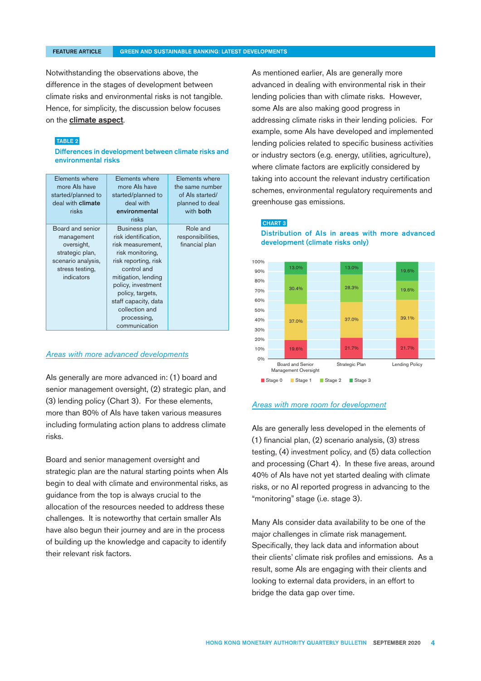Notwithstanding the observations above, the difference in the stages of development between climate risks and environmental risks is not tangible. Hence, for simplicity, the discussion below focuses on the climate aspect.

### TABLE 2

Differences in development between climate risks and environmental risks

| Elements where<br>more Als have<br>started/planned to<br>deal with climate<br>risks                                    | Elements where<br>more Als have<br>started/planned to<br>deal with<br>environmental<br>risks                                                                                                                                                                      | Elements where<br>the same number<br>of Als started/<br>planned to deal<br>with <b>both</b> |
|------------------------------------------------------------------------------------------------------------------------|-------------------------------------------------------------------------------------------------------------------------------------------------------------------------------------------------------------------------------------------------------------------|---------------------------------------------------------------------------------------------|
| Board and senior<br>management<br>oversight,<br>strategic plan,<br>scenario analysis,<br>stress testing,<br>indicators | Business plan,<br>risk identification,<br>risk measurement,<br>risk monitoring,<br>risk reporting, risk<br>control and<br>mitigation, lending<br>policy, investment<br>policy, targets,<br>staff capacity, data<br>collection and<br>processing,<br>communication | Role and<br>responsibilities,<br>financial plan                                             |

### *Areas with more advanced developments*

AIs generally are more advanced in: (1) board and senior management oversight, (2) strategic plan, and (3) lending policy (Chart 3). For these elements, more than 80% of AIs have taken various measures including formulating action plans to address climate risks.

Board and senior management oversight and strategic plan are the natural starting points when AIs begin to deal with climate and environmental risks, as guidance from the top is always crucial to the allocation of the resources needed to address these challenges. It is noteworthy that certain smaller AIs have also begun their journey and are in the process of building up the knowledge and capacity to identify their relevant risk factors.

As mentioned earlier, AIs are generally more advanced in dealing with environmental risk in their lending policies than with climate risks. However, some AIs are also making good progress in addressing climate risks in their lending policies. For example, some AIs have developed and implemented lending policies related to specific business activities or industry sectors (e.g. energy, utilities, agriculture), where climate factors are explicitly considered by taking into account the relevant industry certification schemes, environmental regulatory requirements and greenhouse gas emissions.

#### CHART 3

Distribution of AIs in areas with more advanced development (climate risks only)



### *Areas with more room for development*

AIs are generally less developed in the elements of (1) financial plan, (2) scenario analysis, (3) stress testing, (4) investment policy, and (5) data collection and processing (Chart 4). In these five areas, around 40% of AIs have not yet started dealing with climate risks, or no AI reported progress in advancing to the "monitoring" stage (i.e. stage 3).

Many AIs consider data availability to be one of the major challenges in climate risk management. Specifically, they lack data and information about their clients' climate risk profiles and emissions. As a result, some AIs are engaging with their clients and looking to external data providers, in an effort to bridge the data gap over time.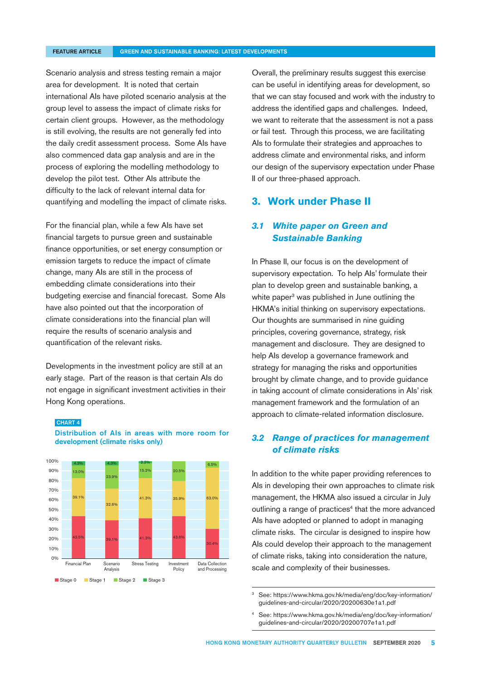#### **FEATURE ARTICLE**

#### **GREEN AND SUSTAINABLE BANKING: LATEST DEVELOPMENTS**

Scenario analysis and stress testing remain a major area for development. It is noted that certain international AIs have piloted scenario analysis at the group level to assess the impact of climate risks for certain client groups. However, as the methodology is still evolving, the results are not generally fed into the daily credit assessment process. Some AIs have also commenced data gap analysis and are in the process of exploring the modelling methodology to develop the pilot test. Other AIs attribute the difficulty to the lack of relevant internal data for quantifying and modelling the impact of climate risks.

For the financial plan, while a few AIs have set financial targets to pursue green and sustainable finance opportunities, or set energy consumption or emission targets to reduce the impact of climate change, many AIs are still in the process of embedding climate considerations into their budgeting exercise and financial forecast. Some AIs have also pointed out that the incorporation of climate considerations into the financial plan will require the results of scenario analysis and quantification of the relevant risks.

Developments in the investment policy are still at an early stage. Part of the reason is that certain AIs do not engage in significant investment activities in their Hong Kong operations.

#### CHART 4

Distribution of AIs in areas with more room for development (climate risks only)



Overall, the preliminary results suggest this exercise can be useful in identifying areas for development, so that we can stay focused and work with the industry to address the identified gaps and challenges. Indeed, we want to reiterate that the assessment is not a pass or fail test. Through this process, we are facilitating AIs to formulate their strategies and approaches to address climate and environmental risks, and inform our design of the supervisory expectation under Phase II of our three-phased approach.

## **3. Work under Phase II**

# **3.1 White paper on Green and** *Sustainable Banking*

In Phase II, our focus is on the development of supervisory expectation. To help AIs' formulate their plan to develop green and sustainable banking, a white paper<sup>3</sup> was published in June outlining the HKMA's initial thinking on supervisory expectations. Our thoughts are summarised in nine guiding principles, covering governance, strategy, risk management and disclosure. They are designed to help AIs develop a governance framework and strategy for managing the risks and opportunities brought by climate change, and to provide guidance in taking account of climate considerations in AIs' risk management framework and the formulation of an approach to climate-related information disclosure.

# *3.2 Range of practices for management of climate risks*

In addition to the white paper providing references to AIs in developing their own approaches to climate risk management, the HKMA also issued a circular in July outlining a range of practices<sup>4</sup> that the more advanced AIs have adopted or planned to adopt in managing climate risks. The circular is designed to inspire how AIs could develop their approach to the management of climate risks, taking into consideration the nature, scale and complexity of their businesses.

<sup>3</sup> [See: https://www.hkma.gov.hk/media/eng/doc/key-information/](https://www.hkma.gov.hk/media/eng/doc/key-information/guidelines-and-circular/2020/20200630e1a1.pdf) guidelines-and-circular/2020/20200630e1a1.pdf

[See: https://www.hkma.gov.hk/media/eng/doc/key-information/](https://www.hkma.gov.hk/media/eng/doc/key-information/guidelines-and-circular/2020/20200707e1a1.pdf) guidelines-and-circular/2020/20200707e1a1.pdf